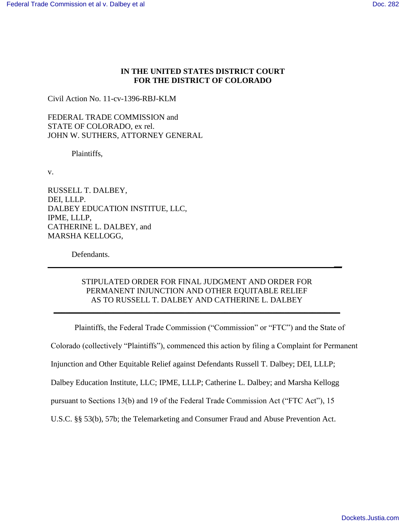# **IN THE UNITED STATES DISTRICT COURT FOR THE DISTRICT OF COLORADO**

Civil Action No. 11-cv-1396-RBJ-KLM

FEDERAL TRADE COMMISSION and STATE OF COLORADO, ex rel. JOHN W. SUTHERS, ATTORNEY GENERAL

Plaintiffs,

v.

RUSSELL T. DALBEY, DEI, LLLP. DALBEY EDUCATION INSTITUE, LLC, IPME, LLLP, CATHERINE L. DALBEY, and MARSHA KELLOGG,

Defendants.

# STIPULATED ORDER FOR FINAL JUDGMENT AND ORDER FOR PERMANENT INJUNCTION AND OTHER EQUITABLE RELIEF AS TO RUSSELL T. DALBEY AND CATHERINE L. DALBEY

**\_\_\_\_\_\_\_\_\_\_\_\_\_\_\_\_\_\_\_\_\_\_\_\_\_\_\_\_\_\_\_\_\_\_\_\_\_\_\_\_\_\_\_\_\_\_\_\_\_\_\_\_\_\_\_\_\_\_\_\_\_\_\_\_\_\_\_\_\_\_\_\_** 

 **\_\_** 

Plaintiffs, the Federal Trade Commission ("Commission" or "FTC") and the State of

Colorado (collectively "Plaintiffs"), commenced this action by filing a Complaint for Permanent

Injunction and Other Equitable Relief against Defendants Russell T. Dalbey; DEI, LLLP;

Dalbey Education Institute, LLC; IPME, LLLP; Catherine L. Dalbey; and Marsha Kellogg

pursuant to Sections 13(b) and 19 of the Federal Trade Commission Act ("FTC Act"), 15

U.S.C. §§ 53(b), 57b; the Telemarketing and Consumer Fraud and Abuse Prevention Act.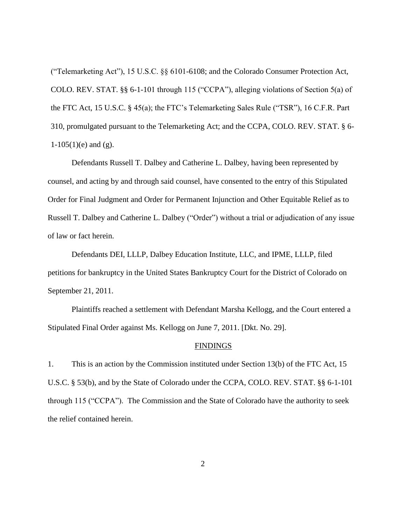("Telemarketing Act"), 15 U.S.C. §§ 6101-6108; and the Colorado Consumer Protection Act, COLO. REV. STAT. §§ 6-1-101 through 115 ("CCPA"), alleging violations of Section 5(a) of the FTC Act, 15 U.S.C. § 45(a); the FTC's Telemarketing Sales Rule ("TSR"), 16 C.F.R. Part 310, promulgated pursuant to the Telemarketing Act; and the CCPA, COLO. REV. STAT. § 6-  $1-105(1)$ (e) and (g).

Defendants Russell T. Dalbey and Catherine L. Dalbey, having been represented by counsel, and acting by and through said counsel, have consented to the entry of this Stipulated Order for Final Judgment and Order for Permanent Injunction and Other Equitable Relief as to Russell T. Dalbey and Catherine L. Dalbey ("Order") without a trial or adjudication of any issue of law or fact herein.

Defendants DEI, LLLP, Dalbey Education Institute, LLC, and IPME, LLLP, filed petitions for bankruptcy in the United States Bankruptcy Court for the District of Colorado on September 21, 2011.

Plaintiffs reached a settlement with Defendant Marsha Kellogg, and the Court entered a Stipulated Final Order against Ms. Kellogg on June 7, 2011. [Dkt. No. 29].

#### **FINDINGS**

1. This is an action by the Commission instituted under Section 13(b) of the FTC Act, 15 U.S.C. § 53(b), and by the State of Colorado under the CCPA, COLO. REV. STAT. §§ 6-1-101 through 115 ("CCPA"). The Commission and the State of Colorado have the authority to seek the relief contained herein.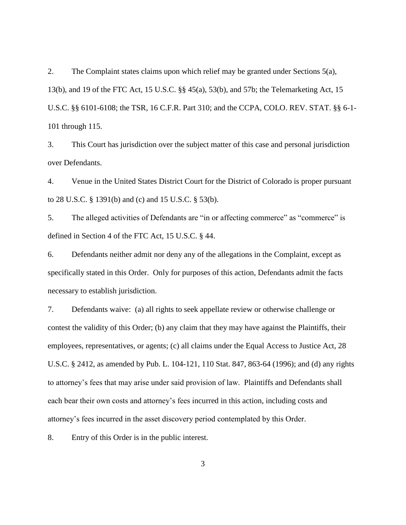2. The Complaint states claims upon which relief may be granted under Sections 5(a), 13(b), and 19 of the FTC Act, 15 U.S.C. §§ 45(a), 53(b), and 57b; the Telemarketing Act, 15 U.S.C. §§ 6101-6108; the TSR, 16 C.F.R. Part 310; and the CCPA, COLO. REV. STAT. §§ 6-1- 101 through 115.

3. This Court has jurisdiction over the subject matter of this case and personal jurisdiction over Defendants.

4. Venue in the United States District Court for the District of Colorado is proper pursuant to 28 U.S.C. § 1391(b) and (c) and 15 U.S.C. § 53(b).

5. The alleged activities of Defendants are "in or affecting commerce" as "commerce" is defined in Section 4 of the FTC Act, 15 U.S.C. § 44.

6. Defendants neither admit nor deny any of the allegations in the Complaint, except as specifically stated in this Order. Only for purposes of this action, Defendants admit the facts necessary to establish jurisdiction.

7. Defendants waive: (a) all rights to seek appellate review or otherwise challenge or contest the validity of this Order; (b) any claim that they may have against the Plaintiffs, their employees, representatives, or agents; (c) all claims under the Equal Access to Justice Act, 28 U.S.C. § 2412, as amended by Pub. L. 104-121, 110 Stat. 847, 863-64 (1996); and (d) any rights to attorney's fees that may arise under said provision of law. Plaintiffs and Defendants shall each bear their own costs and attorney's fees incurred in this action, including costs and attorney's fees incurred in the asset discovery period contemplated by this Order.

8. Entry of this Order is in the public interest.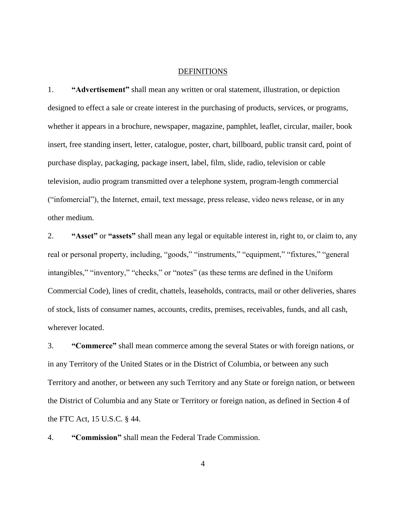#### DEFINITIONS

1. **"Advertisement"** shall mean any written or oral statement, illustration, or depiction designed to effect a sale or create interest in the purchasing of products, services, or programs, whether it appears in a brochure, newspaper, magazine, pamphlet, leaflet, circular, mailer, book insert, free standing insert, letter, catalogue, poster, chart, billboard, public transit card, point of purchase display, packaging, package insert, label, film, slide, radio, television or cable television, audio program transmitted over a telephone system, program-length commercial ("infomercial"), the Internet, email, text message, press release, video news release, or in any other medium.

2. **"Asset"** or **"assets"** shall mean any legal or equitable interest in, right to, or claim to, any real or personal property, including, "goods," "instruments," "equipment," "fixtures," "general intangibles," "inventory," "checks," or "notes" (as these terms are defined in the Uniform Commercial Code), lines of credit, chattels, leaseholds, contracts, mail or other deliveries, shares of stock, lists of consumer names, accounts, credits, premises, receivables, funds, and all cash, wherever located.

3. **"Commerce"** shall mean commerce among the several States or with foreign nations, or in any Territory of the United States or in the District of Columbia, or between any such Territory and another, or between any such Territory and any State or foreign nation, or between the District of Columbia and any State or Territory or foreign nation, as defined in Section 4 of the FTC Act, 15 U.S.C. § 44.

4. **"Commission"** shall mean the Federal Trade Commission.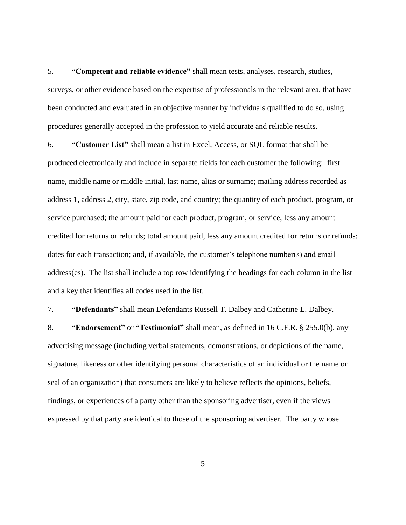5. **"Competent and reliable evidence"** shall mean tests, analyses, research, studies, surveys, or other evidence based on the expertise of professionals in the relevant area, that have been conducted and evaluated in an objective manner by individuals qualified to do so, using procedures generally accepted in the profession to yield accurate and reliable results.

6. **"Customer List"** shall mean a list in Excel, Access, or SQL format that shall be produced electronically and include in separate fields for each customer the following: first name, middle name or middle initial, last name, alias or surname; mailing address recorded as address 1, address 2, city, state, zip code, and country; the quantity of each product, program, or service purchased; the amount paid for each product, program, or service, less any amount credited for returns or refunds; total amount paid, less any amount credited for returns or refunds; dates for each transaction; and, if available, the customer's telephone number(s) and email address(es). The list shall include a top row identifying the headings for each column in the list and a key that identifies all codes used in the list.

7. **"Defendants"** shall mean Defendants Russell T. Dalbey and Catherine L. Dalbey.

8. **"Endorsement"** or **"Testimonial"** shall mean, as defined in 16 C.F.R. § 255.0(b), any advertising message (including verbal statements, demonstrations, or depictions of the name, signature, likeness or other identifying personal characteristics of an individual or the name or seal of an organization) that consumers are likely to believe reflects the opinions, beliefs, findings, or experiences of a party other than the sponsoring advertiser, even if the views expressed by that party are identical to those of the sponsoring advertiser. The party whose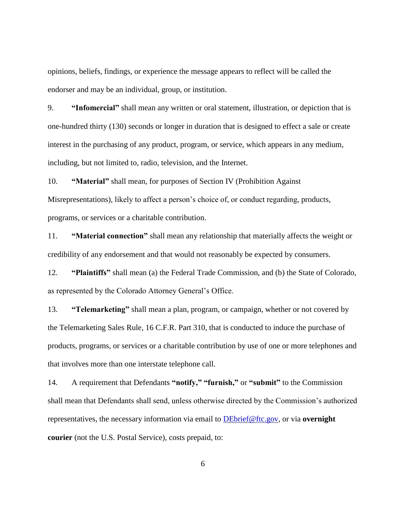opinions, beliefs, findings, or experience the message appears to reflect will be called the endorser and may be an individual, group, or institution.

9. **"Infomercial"** shall mean any written or oral statement, illustration, or depiction that is one-hundred thirty (130) seconds or longer in duration that is designed to effect a sale or create interest in the purchasing of any product, program, or service, which appears in any medium, including, but not limited to, radio, television, and the Internet.

10. **"Material"** shall mean, for purposes of Section IV (Prohibition Against Misrepresentations), likely to affect a person's choice of, or conduct regarding, products, programs, or services or a charitable contribution.

11. **"Material connection"** shall mean any relationship that materially affects the weight or credibility of any endorsement and that would not reasonably be expected by consumers.

12. **"Plaintiffs"** shall mean (a) the Federal Trade Commission, and (b) the State of Colorado, as represented by the Colorado Attorney General's Office.

13. **"Telemarketing"** shall mean a plan, program, or campaign, whether or not covered by the Telemarketing Sales Rule, 16 C.F.R. Part 310, that is conducted to induce the purchase of products, programs, or services or a charitable contribution by use of one or more telephones and that involves more than one interstate telephone call.

14. A requirement that Defendants **"notify," "furnish,"** or **"submit"** to the Commission shall mean that Defendants shall send, unless otherwise directed by the Commission's authorized representatives, the necessary information via email to [DEbrief@ftc.gov,](mailto:DEbrief@ftc.gov) or via **overnight courier** (not the U.S. Postal Service), costs prepaid, to: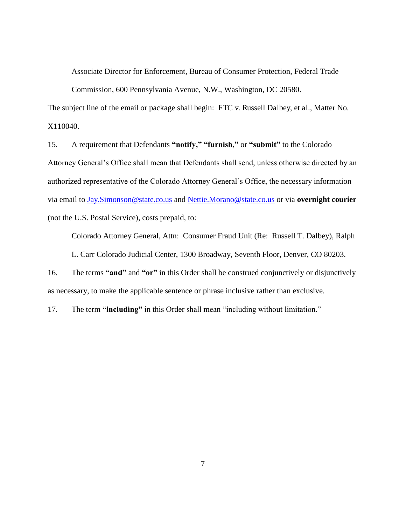Associate Director for Enforcement, Bureau of Consumer Protection, Federal Trade

Commission, 600 Pennsylvania Avenue, N.W., Washington, DC 20580.

The subject line of the email or package shall begin: FTC v. Russell Dalbey, et al., Matter No. X110040.

15. A requirement that Defendants **"notify," "furnish,"** or **"submit"** to the Colorado Attorney General's Office shall mean that Defendants shall send, unless otherwise directed by an authorized representative of the Colorado Attorney General's Office, the necessary information via email to [Jay.Simonson@state.co.us](mailto:Jay.Simonson@state.co.us) and [Nettie.Morano@state.co.us](mailto:Nettie.Morano@state.co.us) or via **overnight courier** (not the U.S. Postal Service), costs prepaid, to:

Colorado Attorney General, Attn: Consumer Fraud Unit (Re: Russell T. Dalbey), Ralph L. Carr Colorado Judicial Center, 1300 Broadway, Seventh Floor, Denver, CO 80203.

16. The terms **"and"** and **"or"** in this Order shall be construed conjunctively or disjunctively as necessary, to make the applicable sentence or phrase inclusive rather than exclusive.

17. The term **"including"** in this Order shall mean "including without limitation."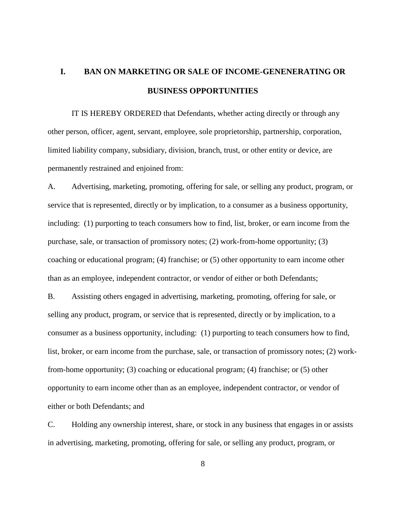# **I. BAN ON MARKETING OR SALE OF INCOME-GENENERATING OR BUSINESS OPPORTUNITIES**

IT IS HEREBY ORDERED that Defendants, whether acting directly or through any other person, officer, agent, servant, employee, sole proprietorship, partnership, corporation, limited liability company, subsidiary, division, branch, trust, or other entity or device, are permanently restrained and enjoined from:

A. Advertising, marketing, promoting, offering for sale, or selling any product, program, or service that is represented, directly or by implication, to a consumer as a business opportunity, including: (1) purporting to teach consumers how to find, list, broker, or earn income from the purchase, sale, or transaction of promissory notes; (2) work-from-home opportunity; (3) coaching or educational program; (4) franchise; or (5) other opportunity to earn income other than as an employee, independent contractor, or vendor of either or both Defendants;

B. Assisting others engaged in advertising, marketing, promoting, offering for sale, or selling any product, program, or service that is represented, directly or by implication, to a consumer as a business opportunity, including: (1) purporting to teach consumers how to find, list, broker, or earn income from the purchase, sale, or transaction of promissory notes; (2) workfrom-home opportunity; (3) coaching or educational program; (4) franchise; or (5) other opportunity to earn income other than as an employee, independent contractor, or vendor of either or both Defendants; and

C. Holding any ownership interest, share, or stock in any business that engages in or assists in advertising, marketing, promoting, offering for sale, or selling any product, program, or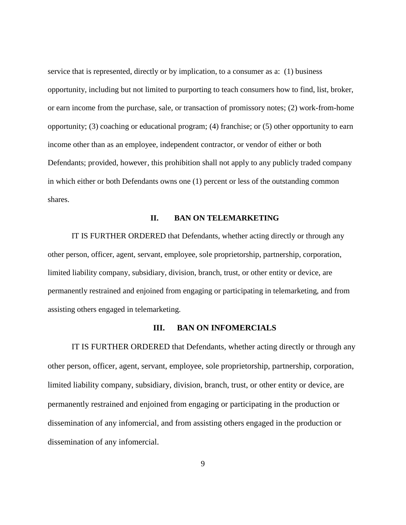service that is represented, directly or by implication, to a consumer as a: (1) business opportunity, including but not limited to purporting to teach consumers how to find, list, broker, or earn income from the purchase, sale, or transaction of promissory notes; (2) work-from-home opportunity; (3) coaching or educational program; (4) franchise; or (5) other opportunity to earn income other than as an employee, independent contractor, or vendor of either or both Defendants; provided, however, this prohibition shall not apply to any publicly traded company in which either or both Defendants owns one (1) percent or less of the outstanding common shares.

#### **II. BAN ON TELEMARKETING**

IT IS FURTHER ORDERED that Defendants, whether acting directly or through any other person, officer, agent, servant, employee, sole proprietorship, partnership, corporation, limited liability company, subsidiary, division, branch, trust, or other entity or device, are permanently restrained and enjoined from engaging or participating in telemarketing, and from assisting others engaged in telemarketing.

# **III. BAN ON INFOMERCIALS**

IT IS FURTHER ORDERED that Defendants, whether acting directly or through any other person, officer, agent, servant, employee, sole proprietorship, partnership, corporation, limited liability company, subsidiary, division, branch, trust, or other entity or device, are permanently restrained and enjoined from engaging or participating in the production or dissemination of any infomercial, and from assisting others engaged in the production or dissemination of any infomercial.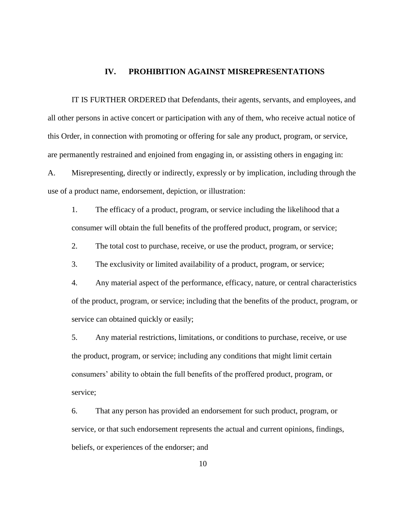#### **IV. PROHIBITION AGAINST MISREPRESENTATIONS**

IT IS FURTHER ORDERED that Defendants, their agents, servants, and employees, and all other persons in active concert or participation with any of them, who receive actual notice of this Order, in connection with promoting or offering for sale any product, program, or service, are permanently restrained and enjoined from engaging in, or assisting others in engaging in:

A. Misrepresenting, directly or indirectly, expressly or by implication, including through the use of a product name, endorsement, depiction, or illustration:

1. The efficacy of a product, program, or service including the likelihood that a consumer will obtain the full benefits of the proffered product, program, or service;

2. The total cost to purchase, receive, or use the product, program, or service;

3. The exclusivity or limited availability of a product, program, or service;

4. Any material aspect of the performance, efficacy, nature, or central characteristics of the product, program, or service; including that the benefits of the product, program, or service can obtained quickly or easily;

5. Any material restrictions, limitations, or conditions to purchase, receive, or use the product, program, or service; including any conditions that might limit certain consumers' ability to obtain the full benefits of the proffered product, program, or service;

6. That any person has provided an endorsement for such product, program, or service, or that such endorsement represents the actual and current opinions, findings, beliefs, or experiences of the endorser; and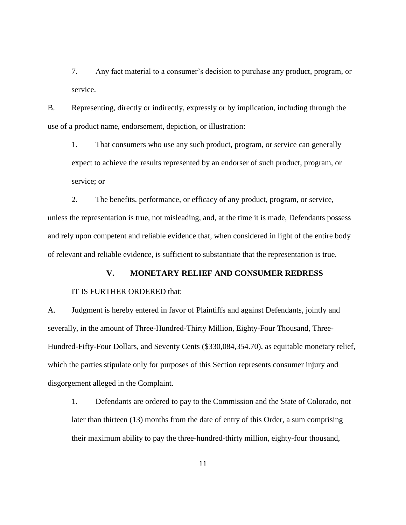7. Any fact material to a consumer's decision to purchase any product, program, or service.

B. Representing, directly or indirectly, expressly or by implication, including through the use of a product name, endorsement, depiction, or illustration:

1. That consumers who use any such product, program, or service can generally expect to achieve the results represented by an endorser of such product, program, or service; or

2. The benefits, performance, or efficacy of any product, program, or service, unless the representation is true, not misleading, and, at the time it is made, Defendants possess and rely upon competent and reliable evidence that, when considered in light of the entire body of relevant and reliable evidence, is sufficient to substantiate that the representation is true.

# **V. MONETARY RELIEF AND CONSUMER REDRESS**

## IT IS FURTHER ORDERED that:

A. Judgment is hereby entered in favor of Plaintiffs and against Defendants, jointly and severally, in the amount of Three-Hundred-Thirty Million, Eighty-Four Thousand, Three-Hundred-Fifty-Four Dollars, and Seventy Cents (\$330,084,354.70), as equitable monetary relief, which the parties stipulate only for purposes of this Section represents consumer injury and disgorgement alleged in the Complaint.

1. Defendants are ordered to pay to the Commission and the State of Colorado, not later than thirteen (13) months from the date of entry of this Order, a sum comprising their maximum ability to pay the three-hundred-thirty million, eighty-four thousand,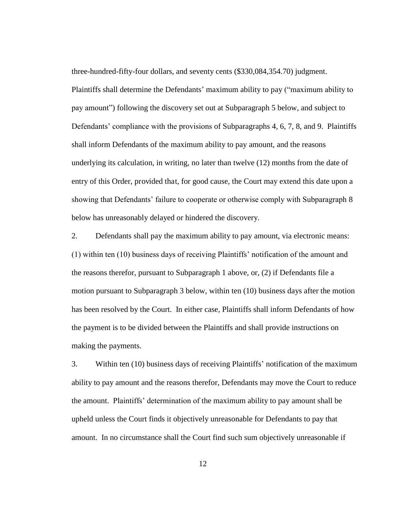three-hundred-fifty-four dollars, and seventy cents (\$330,084,354.70) judgment. Plaintiffs shall determine the Defendants' maximum ability to pay ("maximum ability to pay amount") following the discovery set out at Subparagraph 5 below, and subject to Defendants' compliance with the provisions of Subparagraphs 4, 6, 7, 8, and 9. Plaintiffs shall inform Defendants of the maximum ability to pay amount, and the reasons underlying its calculation, in writing, no later than twelve (12) months from the date of entry of this Order, provided that, for good cause, the Court may extend this date upon a showing that Defendants' failure to cooperate or otherwise comply with Subparagraph 8 below has unreasonably delayed or hindered the discovery.

2. Defendants shall pay the maximum ability to pay amount, via electronic means: (1) within ten (10) business days of receiving Plaintiffs' notification of the amount and the reasons therefor, pursuant to Subparagraph 1 above, or, (2) if Defendants file a motion pursuant to Subparagraph 3 below, within ten (10) business days after the motion has been resolved by the Court. In either case, Plaintiffs shall inform Defendants of how the payment is to be divided between the Plaintiffs and shall provide instructions on making the payments.

3. Within ten (10) business days of receiving Plaintiffs' notification of the maximum ability to pay amount and the reasons therefor, Defendants may move the Court to reduce the amount. Plaintiffs' determination of the maximum ability to pay amount shall be upheld unless the Court finds it objectively unreasonable for Defendants to pay that amount. In no circumstance shall the Court find such sum objectively unreasonable if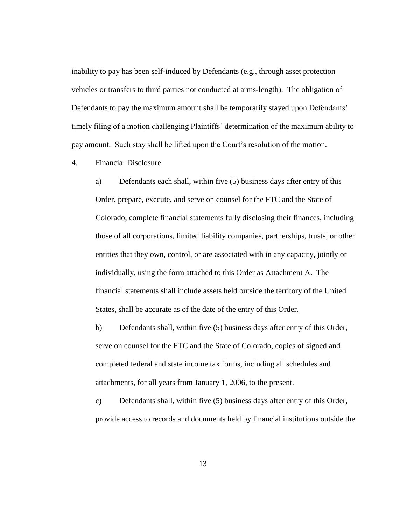inability to pay has been self-induced by Defendants (e.g., through asset protection vehicles or transfers to third parties not conducted at arms-length). The obligation of Defendants to pay the maximum amount shall be temporarily stayed upon Defendants' timely filing of a motion challenging Plaintiffs' determination of the maximum ability to pay amount. Such stay shall be lifted upon the Court's resolution of the motion.

4. Financial Disclosure

a) Defendants each shall, within five (5) business days after entry of this Order, prepare, execute, and serve on counsel for the FTC and the State of Colorado, complete financial statements fully disclosing their finances, including those of all corporations, limited liability companies, partnerships, trusts, or other entities that they own, control, or are associated with in any capacity, jointly or individually, using the form attached to this Order as Attachment A. The financial statements shall include assets held outside the territory of the United States, shall be accurate as of the date of the entry of this Order.

b) Defendants shall, within five (5) business days after entry of this Order, serve on counsel for the FTC and the State of Colorado, copies of signed and completed federal and state income tax forms, including all schedules and attachments, for all years from January 1, 2006, to the present.

c) Defendants shall, within five (5) business days after entry of this Order, provide access to records and documents held by financial institutions outside the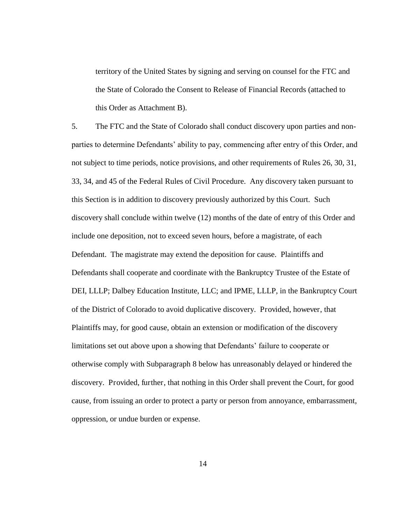territory of the United States by signing and serving on counsel for the FTC and the State of Colorado the Consent to Release of Financial Records (attached to this Order as Attachment B).

5. The FTC and the State of Colorado shall conduct discovery upon parties and nonparties to determine Defendants' ability to pay, commencing after entry of this Order, and not subject to time periods, notice provisions, and other requirements of Rules 26, 30, 31, 33, 34, and 45 of the Federal Rules of Civil Procedure. Any discovery taken pursuant to this Section is in addition to discovery previously authorized by this Court. Such discovery shall conclude within twelve (12) months of the date of entry of this Order and include one deposition, not to exceed seven hours, before a magistrate, of each Defendant. The magistrate may extend the deposition for cause. Plaintiffs and Defendants shall cooperate and coordinate with the Bankruptcy Trustee of the Estate of DEI, LLLP; Dalbey Education Institute, LLC; and IPME, LLLP, in the Bankruptcy Court of the District of Colorado to avoid duplicative discovery. Provided, however, that Plaintiffs may, for good cause, obtain an extension or modification of the discovery limitations set out above upon a showing that Defendants' failure to cooperate or otherwise comply with Subparagraph 8 below has unreasonably delayed or hindered the discovery. Provided, further, that nothing in this Order shall prevent the Court, for good cause, from issuing an order to protect a party or person from annoyance, embarrassment, oppression, or undue burden or expense.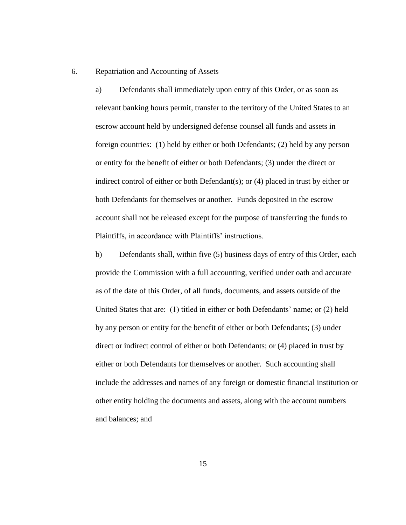#### 6. Repatriation and Accounting of Assets

a) Defendants shall immediately upon entry of this Order, or as soon as relevant banking hours permit, transfer to the territory of the United States to an escrow account held by undersigned defense counsel all funds and assets in foreign countries: (1) held by either or both Defendants; (2) held by any person or entity for the benefit of either or both Defendants; (3) under the direct or indirect control of either or both Defendant(s); or (4) placed in trust by either or both Defendants for themselves or another. Funds deposited in the escrow account shall not be released except for the purpose of transferring the funds to Plaintiffs, in accordance with Plaintiffs' instructions.

b) Defendants shall, within five (5) business days of entry of this Order, each provide the Commission with a full accounting, verified under oath and accurate as of the date of this Order, of all funds, documents, and assets outside of the United States that are: (1) titled in either or both Defendants' name; or (2) held by any person or entity for the benefit of either or both Defendants; (3) under direct or indirect control of either or both Defendants; or (4) placed in trust by either or both Defendants for themselves or another. Such accounting shall include the addresses and names of any foreign or domestic financial institution or other entity holding the documents and assets, along with the account numbers and balances; and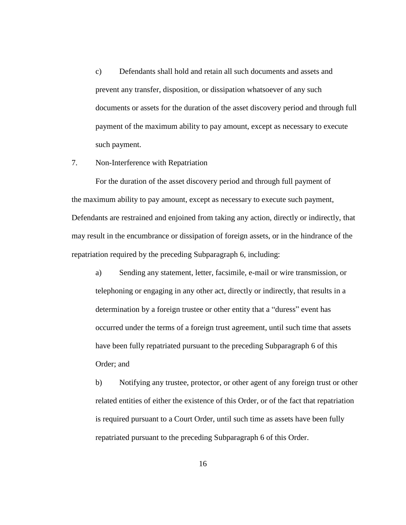c) Defendants shall hold and retain all such documents and assets and prevent any transfer, disposition, or dissipation whatsoever of any such documents or assets for the duration of the asset discovery period and through full payment of the maximum ability to pay amount, except as necessary to execute such payment.

#### 7. Non-Interference with Repatriation

For the duration of the asset discovery period and through full payment of the maximum ability to pay amount, except as necessary to execute such payment, Defendants are restrained and enjoined from taking any action, directly or indirectly, that may result in the encumbrance or dissipation of foreign assets, or in the hindrance of the repatriation required by the preceding Subparagraph 6, including:

a) Sending any statement, letter, facsimile, e-mail or wire transmission, or telephoning or engaging in any other act, directly or indirectly, that results in a determination by a foreign trustee or other entity that a "duress" event has occurred under the terms of a foreign trust agreement, until such time that assets have been fully repatriated pursuant to the preceding Subparagraph 6 of this Order; and

b) Notifying any trustee, protector, or other agent of any foreign trust or other related entities of either the existence of this Order, or of the fact that repatriation is required pursuant to a Court Order, until such time as assets have been fully repatriated pursuant to the preceding Subparagraph 6 of this Order.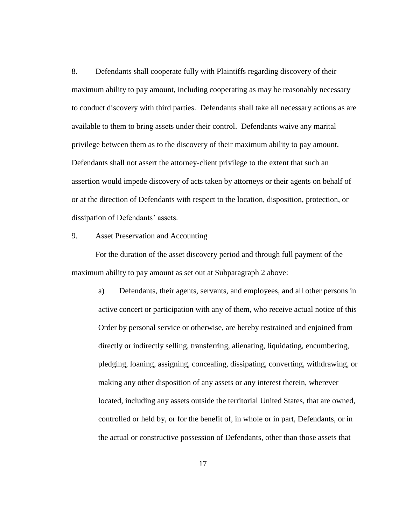8. Defendants shall cooperate fully with Plaintiffs regarding discovery of their maximum ability to pay amount, including cooperating as may be reasonably necessary to conduct discovery with third parties. Defendants shall take all necessary actions as are available to them to bring assets under their control. Defendants waive any marital privilege between them as to the discovery of their maximum ability to pay amount. Defendants shall not assert the attorney-client privilege to the extent that such an assertion would impede discovery of acts taken by attorneys or their agents on behalf of or at the direction of Defendants with respect to the location, disposition, protection, or dissipation of Defendants' assets.

#### 9. Asset Preservation and Accounting

For the duration of the asset discovery period and through full payment of the maximum ability to pay amount as set out at Subparagraph 2 above:

a) Defendants, their agents, servants, and employees, and all other persons in active concert or participation with any of them, who receive actual notice of this Order by personal service or otherwise, are hereby restrained and enjoined from directly or indirectly selling, transferring, alienating, liquidating, encumbering, pledging, loaning, assigning, concealing, dissipating, converting, withdrawing, or making any other disposition of any assets or any interest therein, wherever located, including any assets outside the territorial United States, that are owned, controlled or held by, or for the benefit of, in whole or in part, Defendants, or in the actual or constructive possession of Defendants, other than those assets that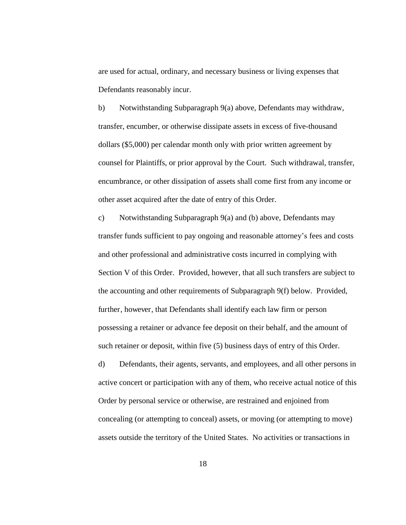are used for actual, ordinary, and necessary business or living expenses that Defendants reasonably incur.

b) Notwithstanding Subparagraph 9(a) above, Defendants may withdraw, transfer, encumber, or otherwise dissipate assets in excess of five-thousand dollars (\$5,000) per calendar month only with prior written agreement by counsel for Plaintiffs, or prior approval by the Court. Such withdrawal, transfer, encumbrance, or other dissipation of assets shall come first from any income or other asset acquired after the date of entry of this Order.

c) Notwithstanding Subparagraph 9(a) and (b) above, Defendants may transfer funds sufficient to pay ongoing and reasonable attorney's fees and costs and other professional and administrative costs incurred in complying with Section V of this Order. Provided, however, that all such transfers are subject to the accounting and other requirements of Subparagraph 9(f) below. Provided, further, however, that Defendants shall identify each law firm or person possessing a retainer or advance fee deposit on their behalf, and the amount of such retainer or deposit, within five (5) business days of entry of this Order.

d) Defendants, their agents, servants, and employees, and all other persons in active concert or participation with any of them, who receive actual notice of this Order by personal service or otherwise, are restrained and enjoined from concealing (or attempting to conceal) assets, or moving (or attempting to move) assets outside the territory of the United States. No activities or transactions in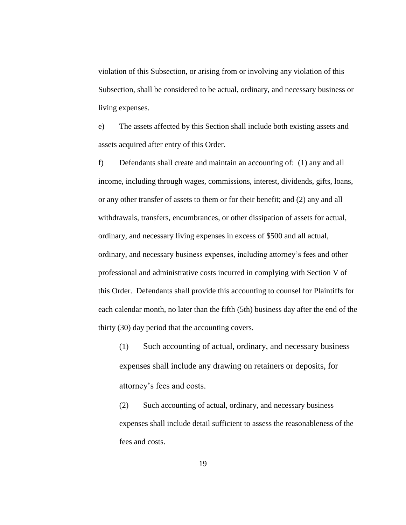violation of this Subsection, or arising from or involving any violation of this Subsection, shall be considered to be actual, ordinary, and necessary business or living expenses.

e) The assets affected by this Section shall include both existing assets and assets acquired after entry of this Order.

f) Defendants shall create and maintain an accounting of: (1) any and all income, including through wages, commissions, interest, dividends, gifts, loans, or any other transfer of assets to them or for their benefit; and (2) any and all withdrawals, transfers, encumbrances, or other dissipation of assets for actual, ordinary, and necessary living expenses in excess of \$500 and all actual, ordinary, and necessary business expenses, including attorney's fees and other professional and administrative costs incurred in complying with Section V of this Order. Defendants shall provide this accounting to counsel for Plaintiffs for each calendar month, no later than the fifth (5th) business day after the end of the thirty (30) day period that the accounting covers.

(1) Such accounting of actual, ordinary, and necessary business expenses shall include any drawing on retainers or deposits, for attorney's fees and costs.

(2) Such accounting of actual, ordinary, and necessary business expenses shall include detail sufficient to assess the reasonableness of the fees and costs.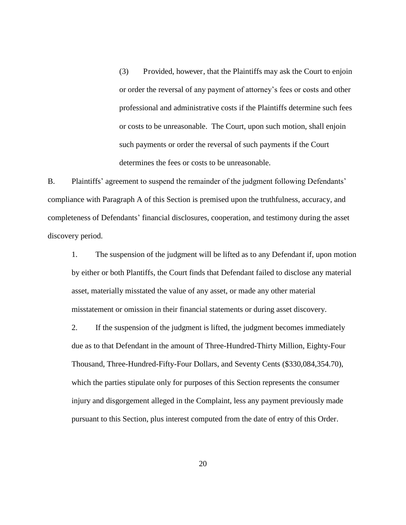(3) Provided, however, that the Plaintiffs may ask the Court to enjoin or order the reversal of any payment of attorney's fees or costs and other professional and administrative costs if the Plaintiffs determine such fees or costs to be unreasonable. The Court, upon such motion, shall enjoin such payments or order the reversal of such payments if the Court determines the fees or costs to be unreasonable.

B. Plaintiffs' agreement to suspend the remainder of the judgment following Defendants' compliance with Paragraph A of this Section is premised upon the truthfulness, accuracy, and completeness of Defendants' financial disclosures, cooperation, and testimony during the asset discovery period.

1. The suspension of the judgment will be lifted as to any Defendant if, upon motion by either or both Plantiffs, the Court finds that Defendant failed to disclose any material asset, materially misstated the value of any asset, or made any other material misstatement or omission in their financial statements or during asset discovery.

2. If the suspension of the judgment is lifted, the judgment becomes immediately due as to that Defendant in the amount of Three-Hundred-Thirty Million, Eighty-Four Thousand, Three-Hundred-Fifty-Four Dollars, and Seventy Cents (\$330,084,354.70), which the parties stipulate only for purposes of this Section represents the consumer injury and disgorgement alleged in the Complaint, less any payment previously made pursuant to this Section, plus interest computed from the date of entry of this Order.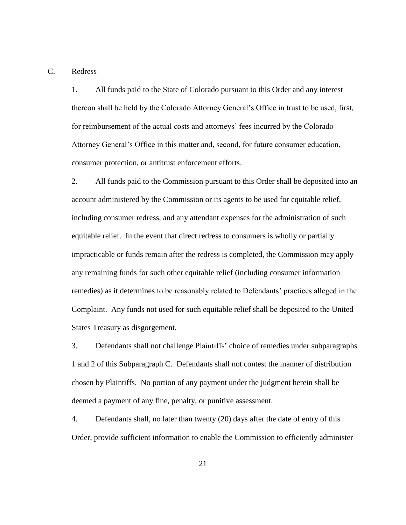C. Redress

1. All funds paid to the State of Colorado pursuant to this Order and any interest thereon shall be held by the Colorado Attorney General's Office in trust to be used, first, for reimbursement of the actual costs and attorneys' fees incurred by the Colorado Attorney General's Office in this matter and, second, for future consumer education, consumer protection, or antitrust enforcement efforts.

2. All funds paid to the Commission pursuant to this Order shall be deposited into an account administered by the Commission or its agents to be used for equitable relief, including consumer redress, and any attendant expenses for the administration of such equitable relief. In the event that direct redress to consumers is wholly or partially impracticable or funds remain after the redress is completed, the Commission may apply any remaining funds for such other equitable relief (including consumer information remedies) as it determines to be reasonably related to Defendants' practices alleged in the Complaint. Any funds not used for such equitable relief shall be deposited to the United States Treasury as disgorgement.

3. Defendants shall not challenge Plaintiffs' choice of remedies under subparagraphs 1 and 2 of this Subparagraph C. Defendants shall not contest the manner of distribution chosen by Plaintiffs. No portion of any payment under the judgment herein shall be deemed a payment of any fine, penalty, or punitive assessment.

4. Defendants shall, no later than twenty (20) days after the date of entry of this Order, provide sufficient information to enable the Commission to efficiently administer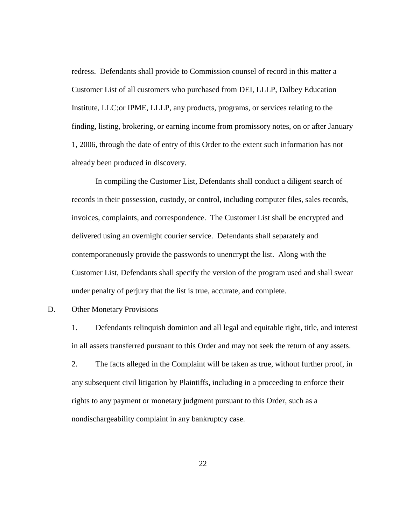redress. Defendants shall provide to Commission counsel of record in this matter a Customer List of all customers who purchased from DEI, LLLP, Dalbey Education Institute, LLC;or IPME, LLLP, any products, programs, or services relating to the finding, listing, brokering, or earning income from promissory notes, on or after January 1, 2006, through the date of entry of this Order to the extent such information has not already been produced in discovery.

In compiling the Customer List, Defendants shall conduct a diligent search of records in their possession, custody, or control, including computer files, sales records, invoices, complaints, and correspondence. The Customer List shall be encrypted and delivered using an overnight courier service. Defendants shall separately and contemporaneously provide the passwords to unencrypt the list. Along with the Customer List, Defendants shall specify the version of the program used and shall swear under penalty of perjury that the list is true, accurate, and complete.

#### D. Other Monetary Provisions

1. Defendants relinquish dominion and all legal and equitable right, title, and interest in all assets transferred pursuant to this Order and may not seek the return of any assets.

2. The facts alleged in the Complaint will be taken as true, without further proof, in any subsequent civil litigation by Plaintiffs, including in a proceeding to enforce their rights to any payment or monetary judgment pursuant to this Order, such as a nondischargeability complaint in any bankruptcy case.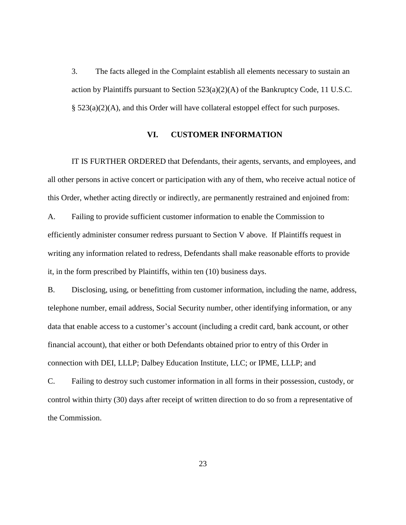3. The facts alleged in the Complaint establish all elements necessary to sustain an action by Plaintiffs pursuant to Section  $523(a)(2)(A)$  of the Bankruptcy Code, 11 U.S.C. § 523(a)(2)(A), and this Order will have collateral estoppel effect for such purposes.

## **VI. CUSTOMER INFORMATION**

IT IS FURTHER ORDERED that Defendants, their agents, servants, and employees, and all other persons in active concert or participation with any of them, who receive actual notice of this Order, whether acting directly or indirectly, are permanently restrained and enjoined from:

A. Failing to provide sufficient customer information to enable the Commission to efficiently administer consumer redress pursuant to Section V above. If Plaintiffs request in writing any information related to redress, Defendants shall make reasonable efforts to provide it, in the form prescribed by Plaintiffs, within ten (10) business days.

B. Disclosing, using, or benefitting from customer information, including the name, address, telephone number, email address, Social Security number, other identifying information, or any data that enable access to a customer's account (including a credit card, bank account, or other financial account), that either or both Defendants obtained prior to entry of this Order in connection with DEI, LLLP; Dalbey Education Institute, LLC; or IPME, LLLP; and

C. Failing to destroy such customer information in all forms in their possession, custody, or control within thirty (30) days after receipt of written direction to do so from a representative of the Commission.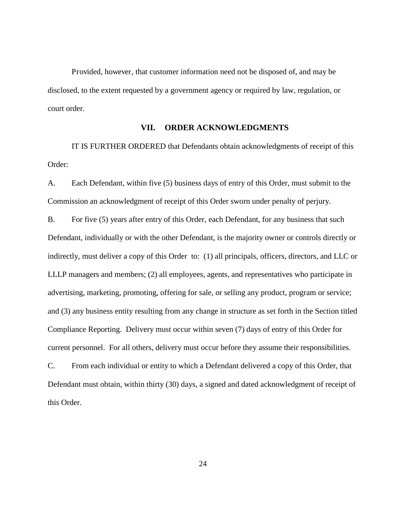Provided, however, that customer information need not be disposed of, and may be disclosed, to the extent requested by a government agency or required by law, regulation, or court order.

## **VII. ORDER ACKNOWLEDGMENTS**

IT IS FURTHER ORDERED that Defendants obtain acknowledgments of receipt of this Order:

A. Each Defendant, within five (5) business days of entry of this Order, must submit to the Commission an acknowledgment of receipt of this Order sworn under penalty of perjury.

B. For five (5) years after entry of this Order, each Defendant, for any business that such Defendant, individually or with the other Defendant, is the majority owner or controls directly or indirectly, must deliver a copy of this Order to: (1) all principals, officers, directors, and LLC or LLLP managers and members; (2) all employees, agents, and representatives who participate in advertising, marketing, promoting, offering for sale, or selling any product, program or service; and (3) any business entity resulting from any change in structure as set forth in the Section titled Compliance Reporting. Delivery must occur within seven (7) days of entry of this Order for current personnel. For all others, delivery must occur before they assume their responsibilities.

C. From each individual or entity to which a Defendant delivered a copy of this Order, that Defendant must obtain, within thirty (30) days, a signed and dated acknowledgment of receipt of this Order.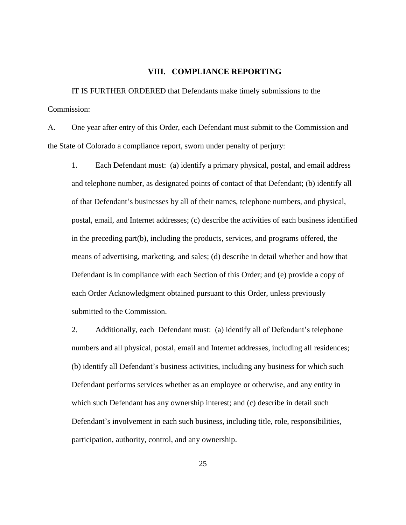#### **VIII. COMPLIANCE REPORTING**

IT IS FURTHER ORDERED that Defendants make timely submissions to the Commission:

A. One year after entry of this Order, each Defendant must submit to the Commission and the State of Colorado a compliance report, sworn under penalty of perjury:

1. Each Defendant must: (a) identify a primary physical, postal, and email address and telephone number, as designated points of contact of that Defendant; (b) identify all of that Defendant's businesses by all of their names, telephone numbers, and physical, postal, email, and Internet addresses; (c) describe the activities of each business identified in the preceding part(b), including the products, services, and programs offered, the means of advertising, marketing, and sales; (d) describe in detail whether and how that Defendant is in compliance with each Section of this Order; and (e) provide a copy of each Order Acknowledgment obtained pursuant to this Order, unless previously submitted to the Commission.

2. Additionally, each Defendant must: (a) identify all of Defendant's telephone numbers and all physical, postal, email and Internet addresses, including all residences; (b) identify all Defendant's business activities, including any business for which such Defendant performs services whether as an employee or otherwise, and any entity in which such Defendant has any ownership interest; and (c) describe in detail such Defendant's involvement in each such business, including title, role, responsibilities, participation, authority, control, and any ownership.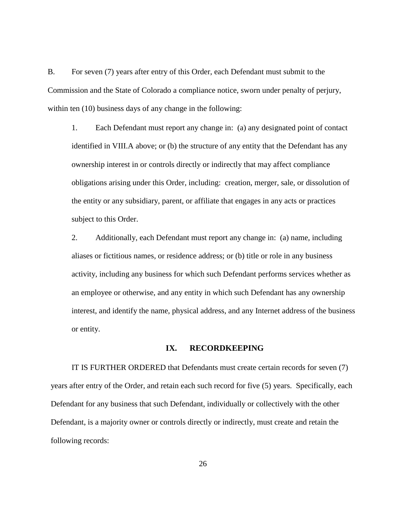B. For seven (7) years after entry of this Order, each Defendant must submit to the Commission and the State of Colorado a compliance notice, sworn under penalty of perjury, within ten (10) business days of any change in the following:

1. Each Defendant must report any change in: (a) any designated point of contact identified in VIII.A above; or (b) the structure of any entity that the Defendant has any ownership interest in or controls directly or indirectly that may affect compliance obligations arising under this Order, including: creation, merger, sale, or dissolution of the entity or any subsidiary, parent, or affiliate that engages in any acts or practices subject to this Order.

2. Additionally, each Defendant must report any change in: (a) name, including aliases or fictitious names, or residence address; or (b) title or role in any business activity, including any business for which such Defendant performs services whether as an employee or otherwise, and any entity in which such Defendant has any ownership interest, and identify the name, physical address, and any Internet address of the business or entity.

# **IX. RECORDKEEPING**

IT IS FURTHER ORDERED that Defendants must create certain records for seven (7) years after entry of the Order, and retain each such record for five (5) years. Specifically, each Defendant for any business that such Defendant, individually or collectively with the other Defendant, is a majority owner or controls directly or indirectly, must create and retain the following records: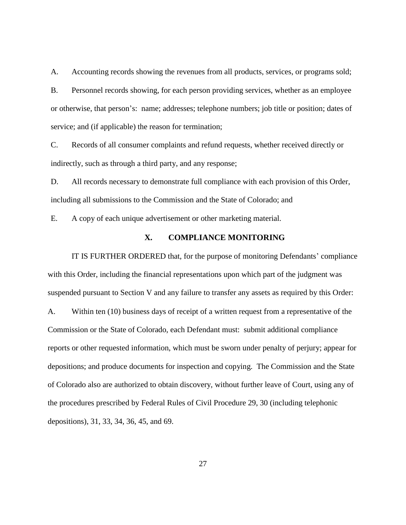A. Accounting records showing the revenues from all products, services, or programs sold; B. Personnel records showing, for each person providing services, whether as an employee or otherwise, that person's: name; addresses; telephone numbers; job title or position; dates of service; and (if applicable) the reason for termination;

C. Records of all consumer complaints and refund requests, whether received directly or indirectly, such as through a third party, and any response;

D. All records necessary to demonstrate full compliance with each provision of this Order, including all submissions to the Commission and the State of Colorado; and

E. A copy of each unique advertisement or other marketing material.

# **X. COMPLIANCE MONITORING**

IT IS FURTHER ORDERED that, for the purpose of monitoring Defendants' compliance with this Order, including the financial representations upon which part of the judgment was suspended pursuant to Section V and any failure to transfer any assets as required by this Order: A. Within ten (10) business days of receipt of a written request from a representative of the Commission or the State of Colorado, each Defendant must: submit additional compliance reports or other requested information, which must be sworn under penalty of perjury; appear for depositions; and produce documents for inspection and copying. The Commission and the State of Colorado also are authorized to obtain discovery, without further leave of Court, using any of the procedures prescribed by Federal Rules of Civil Procedure 29, 30 (including telephonic depositions), 31, 33, 34, 36, 45, and 69.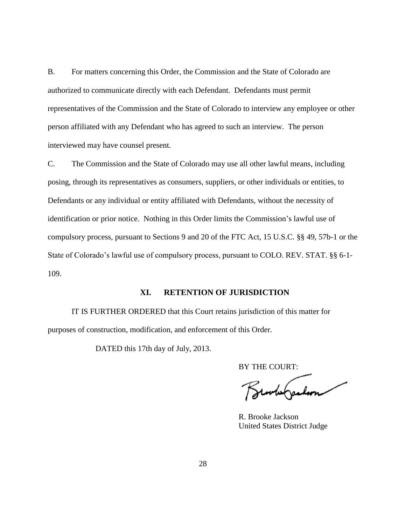B. For matters concerning this Order, the Commission and the State of Colorado are authorized to communicate directly with each Defendant. Defendants must permit representatives of the Commission and the State of Colorado to interview any employee or other person affiliated with any Defendant who has agreed to such an interview. The person interviewed may have counsel present.

C. The Commission and the State of Colorado may use all other lawful means, including posing, through its representatives as consumers, suppliers, or other individuals or entities, to Defendants or any individual or entity affiliated with Defendants, without the necessity of identification or prior notice. Nothing in this Order limits the Commission's lawful use of compulsory process, pursuant to Sections 9 and 20 of the FTC Act, 15 U.S.C. §§ 49, 57b-1 or the State of Colorado's lawful use of compulsory process, pursuant to COLO. REV. STAT. §§ 6-1- 109.

## **XI. RETENTION OF JURISDICTION**

IT IS FURTHER ORDERED that this Court retains jurisdiction of this matter for purposes of construction, modification, and enforcement of this Order.

DATED this 17th day of July, 2013.

BY THE COURT:

sorte Garlon

 R. Brooke Jackson United States District Judge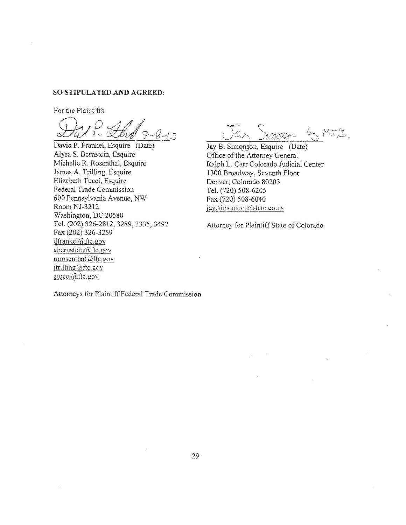#### SO STIPULATED AND AGREED:

For the Plaintiffs:

 $8 - 1.3$ 

David P. Frankel, Esquire (Date) Alysa S. Bernstein, Esquire Michelle R. Rosenthal, Esquire James A. Trilling, Esquire Elizabeth Tucci, Esquire Federal Trade Commission 600 Pennsylvania Avenue, NW Room NJ-3212 Washington, DC 20580 Tel. (202) 326-2812, 3289, 3335, 3497 Fax (202) 326-3259 dfrankel@ftc.gov abernstein@ftc.gov mrosenthal@ftc.gov jtrilling@ftc.gov etucci@ftc.gov

lan Simors SMT.B.

Jay B. Simonson, Esquire (Date) Office of the Attorney General Ralph L. Carr Colorado Judicial Center 1300 Broadway, Seventh Floor Denver, Colorado 80203 Tel. (720) 508-6205 Fax (720) 508-6040 jav.simonson@state.co.us

Attorney for Plaintiff State of Colorado

Attorneys for Plaintiff Federal Trade Commission